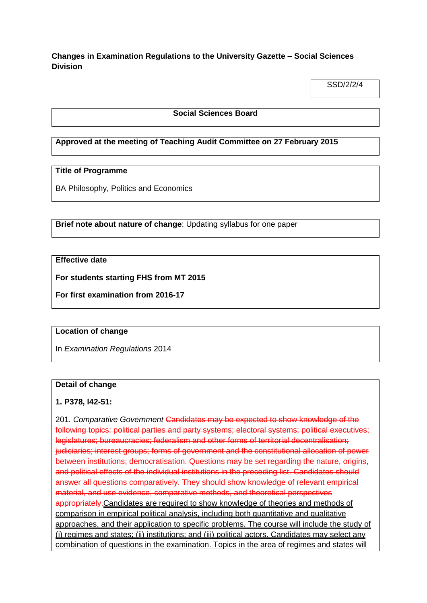**Changes in Examination Regulations to the University Gazette – Social Sciences Division**

SSD/2/2/4

#### **Social Sciences Board**

# **Approved at the meeting of Teaching Audit Committee on 27 February 2015**

# **Title of Programme**

BA Philosophy, Politics and Economics

**Brief note about nature of change**: Updating syllabus for one paper

# **Effective date**

**For students starting FHS from MT 2015**

**For first examination from 2016-17**

## **Location of change**

In *Examination Regulations* 2014

#### **Detail of change**

## **1. P378, l42-51:**

201. *Comparative Government* Candidates may be expected to show knowledge of the following topics: political parties and party systems; electoral systems; political executives; legislatures; bureaucracies; federalism and other forms of territorial decentralisation; judiciaries; interest groups; forms of government and the constitutional allocation of power between institutions; democratisation. Questions may be set regarding the nature, origins, and political effects of the individual institutions in the preceding list. Candidates should answer all questions comparatively. They should show knowledge of relevant empirical material, and use evidence, comparative methods, and theoretical perspectives appropriately. Candidates are required to show knowledge of theories and methods of comparison in empirical political analysis, including both quantitative and qualitative approaches, and their application to specific problems. The course will include the study of (i) regimes and states; (ii) institutions; and (iii) political actors. Candidates may select any combination of questions in the examination. Topics in the area of regimes and states will